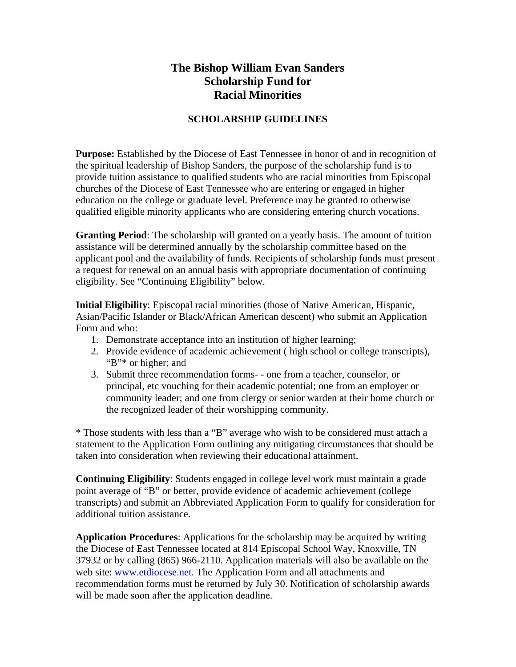## **The Bishop William Evan Sanders Scholarship Fund for Racial Minorities**

## **SCHOLARSHIP GUIDELINES**

**Purpose:** Established by the Diocese of East Tennessee in honor of and in recognition of the spiritual leadership of Bishop Sanders, the purpose of the scholarship fund is to provide tuition assistance to qualified students who are racial minorities from Episcopal churches of the Diocese of East Tennessee who are entering or engaged in higher education on the college or graduate level. Preference may be granted to otherwise qualified eligible minority applicants who are considering entering church vocations.

**Granting Period**: The scholarship will granted on a yearly basis. The amount of tuition assistance will be determined annually by the scholarship committee based on the applicant pool and the availability of funds. Recipients of scholarship funds must present a request for renewal on an annual basis with appropriate documentation of continuing eligibility. See "Continuing Eligibility" below.

**Initial Eligibility**: Episcopal racial minorities (those of Native American, Hispanic, Asian/Pacific Islander or Black/African American descent) who submit an Application Form and who:

- 1. Demonstrate acceptance into an institution of higher learning;
- 2. Provide evidence of academic achievement ( high school or college transcripts), "B"\* or higher; and
- 3. Submit three recommendation forms- one from a teacher, counselor, or principal, etc vouching for their academic potential; one from an employer or community leader; and one from clergy or senior warden at their home church or the recognized leader of their worshipping community.

\* Those students with less than a "B" average who wish to be considered must attach a statement to the Application Form outlining any mitigating circumstances that should be taken into consideration when reviewing their educational attainment.

**Continuing Eligibility**: Students engaged in college level work must maintain a grade point average of "B" or better, provide evidence of academic achievement (college transcripts) and submit an Abbreviated Application Form to qualify for consideration for additional tuition assistance.

**Application Procedures**: Applications for the scholarship may be acquired by writing the Diocese of East Tennessee located at 814 Episcopal School Way, Knoxville, TN 37932 or by calling (865) 966-2110. Application materials will also be available on the web site: www.etdiocese.net. The Application Form and all attachments and recommendation forms must be returned by July 30. Notification of scholarship awards will be made soon after the application deadline.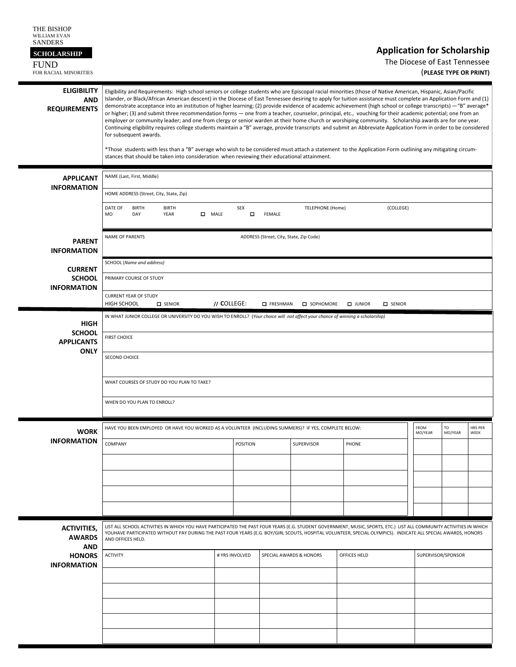| THE BISHOP<br>WILLIAM EVAN<br><b>SANDERS</b><br><b>SCHOLARSHIP</b><br><b>FUND</b><br>FOR RACIAL MINORITIES |                                                                                                                                                                                                                                                                                                                                                                                                                                                                                                                                                                                                                                                                                                                                                                                                                                                                                                                                                                                                                                                                                                                                                                                                                                                                                    |                 |                   |                         | <b>Application for Scholarship</b> | The Diocese of East Tennessee | (PLEASE TYPE OR PRINT) |                 |
|------------------------------------------------------------------------------------------------------------|------------------------------------------------------------------------------------------------------------------------------------------------------------------------------------------------------------------------------------------------------------------------------------------------------------------------------------------------------------------------------------------------------------------------------------------------------------------------------------------------------------------------------------------------------------------------------------------------------------------------------------------------------------------------------------------------------------------------------------------------------------------------------------------------------------------------------------------------------------------------------------------------------------------------------------------------------------------------------------------------------------------------------------------------------------------------------------------------------------------------------------------------------------------------------------------------------------------------------------------------------------------------------------|-----------------|-------------------|-------------------------|------------------------------------|-------------------------------|------------------------|-----------------|
| <b>ELIGIBILITY</b><br><b>AND</b><br><b>REQUIREMENTS</b>                                                    | Eligibility and Requirements: High school seniors or college students who are Episcopal racial minorities (those of Native American, Hispanic, Asian/Pacific<br>Islander, or Black/African American descent) in the Diocese of East Tennessee desiring to apply for tuition assistance must complete an Application Form and (1)<br>demonstrate acceptance into an institution of higher learning; (2) provide evidence of academic achievement (high school or college transcripts) - "B" average*<br>or higher; (3) and submit three recommendation forms — one from a teacher, counselor, principal, etc., vouching for their academic potential; one from an<br>employer or community leader; and one from clergy or senior warden at their home church or worshiping community. Scholarship awards are for one year.<br>Continuing eligibility requires college students maintain a "B" average, provide transcripts and submit an Abbreviate Application Form in order to be considered<br>for subsequent awards.<br>*Those students with less than a "B" average who wish to be considered must attach a statement to the Application Form outlining any mitigating circum-<br>stances that should be taken into consideration when reviewing their educational attainment. |                 |                   |                         |                                    |                               |                        |                 |
| <b>APPLICANT</b><br><b>INFORMATION</b>                                                                     | NAME (Last, First, Middle)<br>HOME ADDRESS (Street, City, State, Zip)                                                                                                                                                                                                                                                                                                                                                                                                                                                                                                                                                                                                                                                                                                                                                                                                                                                                                                                                                                                                                                                                                                                                                                                                              |                 |                   |                         |                                    |                               |                        |                 |
|                                                                                                            | DATE OF<br><b>BIRTH</b><br><b>BIRTH</b><br>$\Box$ MALE<br>M <sub>O</sub><br>DAY<br><b>YEAR</b>                                                                                                                                                                                                                                                                                                                                                                                                                                                                                                                                                                                                                                                                                                                                                                                                                                                                                                                                                                                                                                                                                                                                                                                     | <b>SEX</b><br>П | FEMALE            | <b>TELEPHONE (Home)</b> | (COLLEGE)                          |                               |                        |                 |
| <b>PARENT</b><br><b>INFORMATION</b>                                                                        | <b>NAME OF PARENTS</b><br>ADDRESS (Street, City, State, Zip Code)                                                                                                                                                                                                                                                                                                                                                                                                                                                                                                                                                                                                                                                                                                                                                                                                                                                                                                                                                                                                                                                                                                                                                                                                                  |                 |                   |                         |                                    |                               |                        |                 |
| <b>CURRENT</b><br><b>SCHOOL</b><br><b>INFORMATION</b>                                                      | SCHOOL (Name and address)<br>PRIMARY COURSE OF STUDY<br><b>CURRENT YEAR OF STUDY</b><br>HIGH SCHOOL<br><b>D</b> SENIOR                                                                                                                                                                                                                                                                                                                                                                                                                                                                                                                                                                                                                                                                                                                                                                                                                                                                                                                                                                                                                                                                                                                                                             | // COLLEGE:     | <b>D</b> FRESHMAN | SOPHOMORE               | $\Box$ JUNIOR<br><b>D</b> SENIOR   |                               |                        |                 |
| <b>HIGH</b>                                                                                                | IN WHAT JUNIOR COLLEGE OR UNIVERSITY DO YOU WISH TO ENROLL? (Your choice will not affect your chance of winning a scholarship)                                                                                                                                                                                                                                                                                                                                                                                                                                                                                                                                                                                                                                                                                                                                                                                                                                                                                                                                                                                                                                                                                                                                                     |                 |                   |                         |                                    |                               |                        |                 |
| <b>SCHOOL</b><br><b>APPLICANTS</b><br><b>ONLY</b>                                                          | <b>FIRST CHOICE</b><br>SECOND CHOICE                                                                                                                                                                                                                                                                                                                                                                                                                                                                                                                                                                                                                                                                                                                                                                                                                                                                                                                                                                                                                                                                                                                                                                                                                                               |                 |                   |                         |                                    |                               |                        |                 |
|                                                                                                            | WHAT COURSES OF STUDY DO YOU PLAN TO TAKE?<br>WHEN DO YOU PLAN TO ENROLL?                                                                                                                                                                                                                                                                                                                                                                                                                                                                                                                                                                                                                                                                                                                                                                                                                                                                                                                                                                                                                                                                                                                                                                                                          |                 |                   |                         |                                    |                               |                        |                 |
| <b>WORK</b>                                                                                                | HAVE YOU BEEN EMPLOYED OR HAVE YOU WORKED AS A VOLUNTEER (INCLUDING SUMMERS)? IF YES, COMPLETE BELOW:                                                                                                                                                                                                                                                                                                                                                                                                                                                                                                                                                                                                                                                                                                                                                                                                                                                                                                                                                                                                                                                                                                                                                                              |                 |                   |                         |                                    | FROM<br>MO/YEAR               | TO<br>MO/YEAR          | HRS PER<br>WEEK |
| <b>INFORMATION</b>                                                                                         | COMPANY                                                                                                                                                                                                                                                                                                                                                                                                                                                                                                                                                                                                                                                                                                                                                                                                                                                                                                                                                                                                                                                                                                                                                                                                                                                                            | POSITION        |                   | SUPERVISOR              | PHONE                              |                               |                        |                 |
|                                                                                                            |                                                                                                                                                                                                                                                                                                                                                                                                                                                                                                                                                                                                                                                                                                                                                                                                                                                                                                                                                                                                                                                                                                                                                                                                                                                                                    |                 |                   |                         |                                    |                               |                        |                 |
|                                                                                                            |                                                                                                                                                                                                                                                                                                                                                                                                                                                                                                                                                                                                                                                                                                                                                                                                                                                                                                                                                                                                                                                                                                                                                                                                                                                                                    |                 |                   |                         |                                    |                               |                        |                 |
| <b>ACTIVITIES,</b><br><b>AWARDS</b><br><b>AND</b>                                                          | LIST ALL SCHOOL ACTIVITIES IN WHICH YOU HAVE PARTICIPATED THE PAST FOUR YEARS (E.G. STUDENT GOVERNMENT, MUSIC, SPORTS, ETC.) LIST ALL COMMUNITY ACTIVITIES IN WHICH<br>YOUHAVE PARTICIPATED WITHOUT PAY DURING THE PAST FOUR YEARS (E.G. BOY/GIRL SCOUTS, HOSPITAL VOLUNTEER, SPECIAL OLYMPICS). INDICATE ALL SPECIAL AWARDS, HONORS<br>AND OFFICES HELD.                                                                                                                                                                                                                                                                                                                                                                                                                                                                                                                                                                                                                                                                                                                                                                                                                                                                                                                          |                 |                   |                         |                                    |                               |                        |                 |
| <b>HONORS</b><br><b>INFORMATION</b>                                                                        | <b>ACTIVITY</b>                                                                                                                                                                                                                                                                                                                                                                                                                                                                                                                                                                                                                                                                                                                                                                                                                                                                                                                                                                                                                                                                                                                                                                                                                                                                    | # YRS INVOLVED  |                   | SPECIAL AWARDS & HONORS | OFFICES HELD                       |                               | SUPERVISOR/SPONSOR     |                 |
|                                                                                                            |                                                                                                                                                                                                                                                                                                                                                                                                                                                                                                                                                                                                                                                                                                                                                                                                                                                                                                                                                                                                                                                                                                                                                                                                                                                                                    |                 |                   |                         |                                    |                               |                        |                 |
|                                                                                                            |                                                                                                                                                                                                                                                                                                                                                                                                                                                                                                                                                                                                                                                                                                                                                                                                                                                                                                                                                                                                                                                                                                                                                                                                                                                                                    |                 |                   |                         |                                    |                               |                        |                 |
|                                                                                                            |                                                                                                                                                                                                                                                                                                                                                                                                                                                                                                                                                                                                                                                                                                                                                                                                                                                                                                                                                                                                                                                                                                                                                                                                                                                                                    |                 |                   |                         |                                    |                               |                        |                 |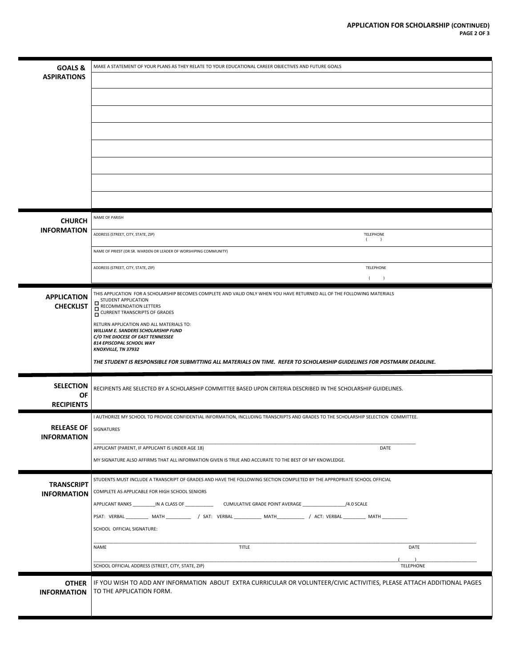| <b>GOALS &amp;</b>                      | MAKE A STATEMENT OF YOUR PLANS AS THEY RELATE TO YOUR EDUCATIONAL CAREER OBJECTIVES AND FUTURE GOALS                                            |  |
|-----------------------------------------|-------------------------------------------------------------------------------------------------------------------------------------------------|--|
| <b>ASPIRATIONS</b>                      |                                                                                                                                                 |  |
|                                         |                                                                                                                                                 |  |
|                                         |                                                                                                                                                 |  |
|                                         |                                                                                                                                                 |  |
|                                         |                                                                                                                                                 |  |
|                                         |                                                                                                                                                 |  |
|                                         |                                                                                                                                                 |  |
|                                         |                                                                                                                                                 |  |
|                                         |                                                                                                                                                 |  |
|                                         | NAME OF PARISH                                                                                                                                  |  |
| <b>CHURCH</b><br><b>INFORMATION</b>     |                                                                                                                                                 |  |
|                                         | ADDRESS (STREET, CITY, STATE, ZIP)<br><b>TELEPHONE</b><br>$\left($<br>$\overline{)}$                                                            |  |
|                                         | NAME OF PRIEST (OR SR. WARDEN OR LEADER OF WORSHIPING COMMUNITY)                                                                                |  |
|                                         | ADDRESS (STREET, CITY, STATE, ZIP)<br>TELEPHONE                                                                                                 |  |
|                                         | $($ )                                                                                                                                           |  |
| <b>APPLICATION</b><br><b>CHECKLIST</b>  | THIS APPLICATION FOR A SCHOLARSHIP BECOMES COMPLETE AND VALID ONLY WHEN YOU HAVE RETURNED ALL OF THE FOLLOWING MATERIALS<br>STUDENT APPLICATION |  |
|                                         | RECOMMENDATION LETTERS<br>CURRENT TRANSCRIPTS OF GRADES                                                                                         |  |
|                                         | RETURN APPLICATION AND ALL MATERIALS TO:<br>WILLIAM E. SANDERS SCHOLARSHIP FUND                                                                 |  |
|                                         | C/O THE DIOCESE OF EAST TENNESSEE<br>814 EPISCOPAL SCHOOL WAY<br><b>KNOXVILLE, TN 37932</b>                                                     |  |
|                                         | THE STUDENT IS RESPONSIBLE FOR SUBMITTING ALL MATERIALS ON TIME. REFER TO SCHOLARSHIP GUIDELINES FOR POSTMARK DEADLINE.                         |  |
|                                         |                                                                                                                                                 |  |
| <b>SELECTION</b>                        | RECIPIENTS ARE SELECTED BY A SCHOLARSHIP COMMITTEE BASED UPON CRITERIA DESCRIBED IN THE SCHOLARSHIP GUIDELINES.                                 |  |
| OF<br><b>RECIPIENTS</b>                 |                                                                                                                                                 |  |
|                                         | I AUTHORIZE MY SCHOOL TO PROVIDE CONFIDENTIAL INFORMATION, INCLUDING TRANSCRIPTS AND GRADES TO THE SCHOLARSHIP SELECTION COMMITTEE.             |  |
| <b>RELEASE OF</b><br><b>INFORMATION</b> | SIGNATURES                                                                                                                                      |  |
|                                         | APPLICANT (PARENT, IF APPLICANT IS UNDER AGE 18)<br>DATE                                                                                        |  |
|                                         | MY SIGNATURE ALSO AFFIRMS THAT ALL INFORMATION GIVEN IS TRUE AND ACCURATE TO THE BEST OF MY KNOWLEDGE.                                          |  |
|                                         | STUDENTS MUST INCLUDE A TRANSCRIPT OF GRADES AND HAVE THE FOLLOWING SECTION COMPLETED BY THE APPROPRIATE SCHOOL OFFICIAL                        |  |
| <b>TRANSCRIPT</b><br><b>INFORMATION</b> | COMPLETE AS APPLICABLE FOR HIGH SCHOOL SENIORS                                                                                                  |  |
|                                         | APPLICANT RANKS __________IN A CLASS OF _____________________CUMULATIVE GRADE POINT AVERAGE ________________________/4.0 SCALE                  |  |
|                                         | PSAT: VERBAL MATH / SAT: VERBAL MATH / ACT: VERBAL MATH                                                                                         |  |
|                                         | SCHOOL OFFICIAL SIGNATURE:                                                                                                                      |  |
|                                         | <b>TITLE</b><br>DATE<br>NAME                                                                                                                    |  |
|                                         | SCHOOL OFFICIAL ADDRESS (STREET, CITY, STATE, ZIP)<br><b>TELEPHONE</b>                                                                          |  |
| <b>OTHER</b>                            | IF YOU WISH TO ADD ANY INFORMATION ABOUT EXTRA CURRICULAR OR VOLUNTEER/CIVIC ACTIVITIES, PLEASE ATTACH ADDITIONAL PAGES                         |  |
| <b>INFORMATION</b>                      | TO THE APPLICATION FORM.                                                                                                                        |  |
|                                         |                                                                                                                                                 |  |
|                                         |                                                                                                                                                 |  |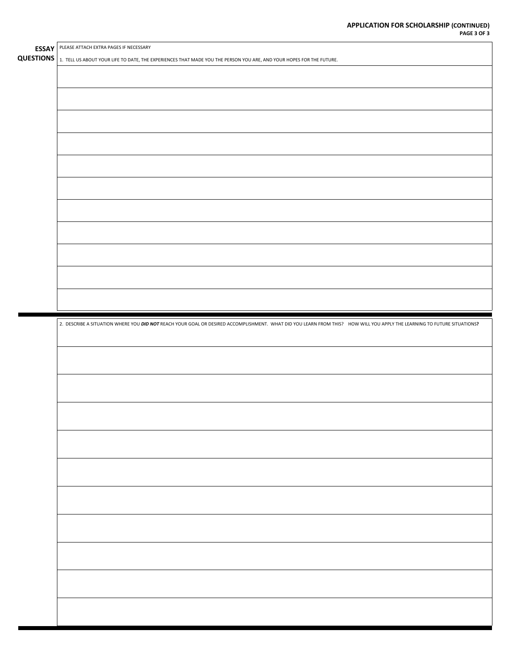| <b>ESSAY</b> PLEASE ATTACH EXTRA PAGES IF NECESSARY                                                                                                                      |
|--------------------------------------------------------------------------------------------------------------------------------------------------------------------------|
| QUESTIONS 1. TELL US ABOUT YOUR LIFE TO DATE, THE EXPERIENCES THAT MADE YOU THE PERSON YOU ARE, AND YOUR HOPES FOR THE FUTURE.                                           |
|                                                                                                                                                                          |
|                                                                                                                                                                          |
|                                                                                                                                                                          |
|                                                                                                                                                                          |
|                                                                                                                                                                          |
|                                                                                                                                                                          |
|                                                                                                                                                                          |
|                                                                                                                                                                          |
|                                                                                                                                                                          |
|                                                                                                                                                                          |
|                                                                                                                                                                          |
|                                                                                                                                                                          |
|                                                                                                                                                                          |
|                                                                                                                                                                          |
|                                                                                                                                                                          |
|                                                                                                                                                                          |
|                                                                                                                                                                          |
|                                                                                                                                                                          |
|                                                                                                                                                                          |
|                                                                                                                                                                          |
| 2. DESCRIBE A SITUATION WHERE YOU DID NOT REACH YOUR GOAL OR DESIRED ACCOMPLISHMENT. WHAT DID YOU LEARN FROM THIS? HOW WILL YOU APPLY THE LEARNING TO FUTURE SITUATIONS? |
|                                                                                                                                                                          |
|                                                                                                                                                                          |
|                                                                                                                                                                          |
|                                                                                                                                                                          |
|                                                                                                                                                                          |
|                                                                                                                                                                          |
|                                                                                                                                                                          |
|                                                                                                                                                                          |
|                                                                                                                                                                          |
|                                                                                                                                                                          |
|                                                                                                                                                                          |
|                                                                                                                                                                          |
|                                                                                                                                                                          |
|                                                                                                                                                                          |
|                                                                                                                                                                          |
|                                                                                                                                                                          |
|                                                                                                                                                                          |
|                                                                                                                                                                          |
|                                                                                                                                                                          |
|                                                                                                                                                                          |
|                                                                                                                                                                          |
|                                                                                                                                                                          |
|                                                                                                                                                                          |
|                                                                                                                                                                          |